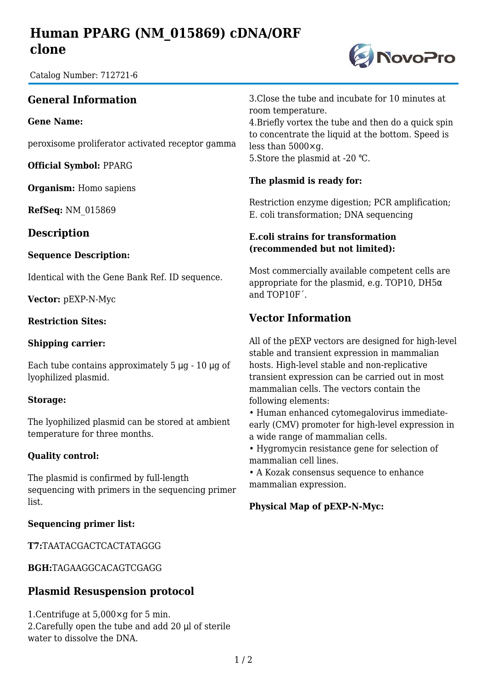# **Human PPARG (NM\_015869) cDNA/ORF clone**

Catalog Number: 712721-6

## **General Information**

**Gene Name:**

peroxisome proliferator activated receptor gamma

**Official Symbol:** PPARG

**Organism:** Homo sapiens

**RefSeq:** NM\_015869

### **Description**

#### **Sequence Description:**

Identical with the Gene Bank Ref. ID sequence.

**Vector:** pEXP-N-Myc

#### **Restriction Sites:**

#### **Shipping carrier:**

Each tube contains approximately  $5 \mu g - 10 \mu g$  of lyophilized plasmid.

#### **Storage:**

The lyophilized plasmid can be stored at ambient temperature for three months.

#### **Quality control:**

The plasmid is confirmed by full-length sequencing with primers in the sequencing primer list.

#### **Sequencing primer list:**

**T7:**TAATACGACTCACTATAGGG

**BGH:**TAGAAGGCACAGTCGAGG

### **Plasmid Resuspension protocol**

1.Centrifuge at 5,000×g for 5 min. 2.Carefully open the tube and add 20 μl of sterile water to dissolve the DNA.

3.Close the tube and incubate for 10 minutes at room temperature.

4.Briefly vortex the tube and then do a quick spin to concentrate the liquid at the bottom. Speed is less than 5000×g. 5. Store the plasmid at -20 °C.

#### **The plasmid is ready for:**

Restriction enzyme digestion; PCR amplification; E. coli transformation; DNA sequencing

#### **E.coli strains for transformation (recommended but not limited):**

Most commercially available competent cells are appropriate for the plasmid, e.g. TOP10, DH5 $\alpha$ and TOP10F´.

## **Vector Information**

All of the pEXP vectors are designed for high-level stable and transient expression in mammalian hosts. High-level stable and non-replicative transient expression can be carried out in most mammalian cells. The vectors contain the following elements:

• Human enhanced cytomegalovirus immediateearly (CMV) promoter for high-level expression in a wide range of mammalian cells.

• Hygromycin resistance gene for selection of mammalian cell lines.

• A Kozak consensus sequence to enhance mammalian expression.

#### **Physical Map of pEXP-N-Myc:**